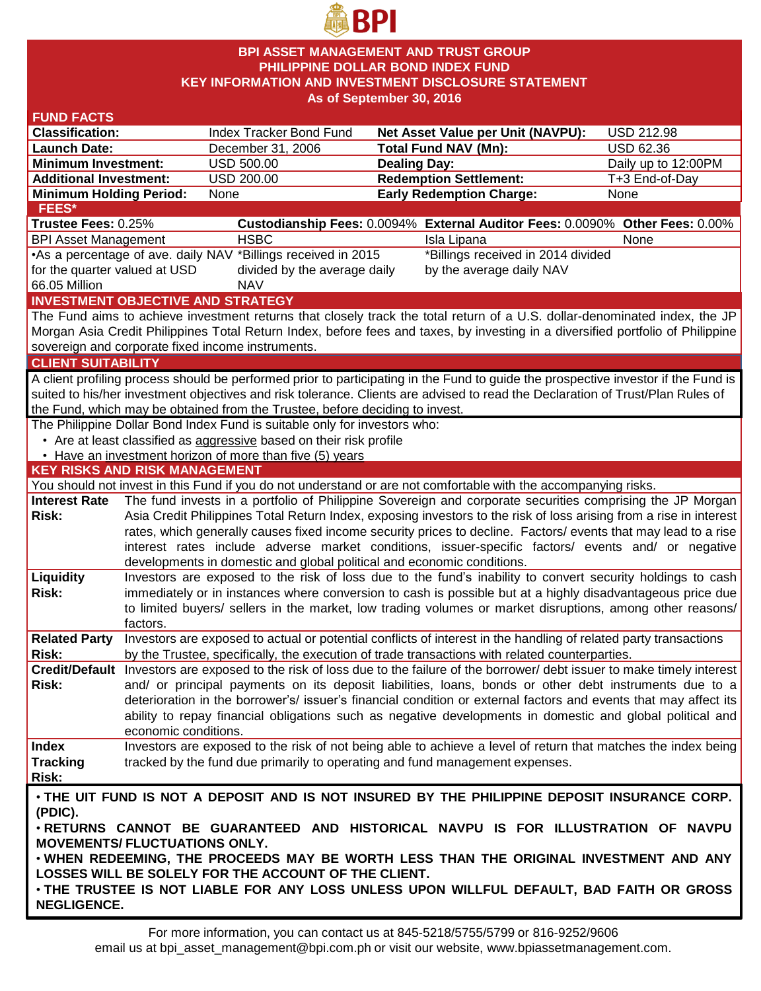

### **BPI ASSET MANAGEMENT AND TRUST GROUP PHILIPPINE DOLLAR BOND INDEX FUND KEY INFORMATION AND INVESTMENT DISCLOSURE STATEMENT As of September 30, 2016**

| <b>FUND FACTS</b>                                                                            |                                                                                                                                                                                                                               |                                                                              |                     |                                                                                                                                    |                     |  |
|----------------------------------------------------------------------------------------------|-------------------------------------------------------------------------------------------------------------------------------------------------------------------------------------------------------------------------------|------------------------------------------------------------------------------|---------------------|------------------------------------------------------------------------------------------------------------------------------------|---------------------|--|
| <b>Classification:</b>                                                                       |                                                                                                                                                                                                                               | Index Tracker Bond Fund                                                      |                     | Net Asset Value per Unit (NAVPU):                                                                                                  | <b>USD 212.98</b>   |  |
| <b>Launch Date:</b>                                                                          |                                                                                                                                                                                                                               | December 31, 2006                                                            |                     | <b>Total Fund NAV (Mn):</b>                                                                                                        | <b>USD 62.36</b>    |  |
| <b>Minimum Investment:</b>                                                                   |                                                                                                                                                                                                                               | <b>USD 500.00</b>                                                            | <b>Dealing Day:</b> |                                                                                                                                    | Daily up to 12:00PM |  |
| <b>Additional Investment:</b>                                                                |                                                                                                                                                                                                                               | USD 200.00                                                                   |                     | <b>Redemption Settlement:</b>                                                                                                      | T+3 End-of-Day      |  |
| <b>Minimum Holding Period:</b>                                                               |                                                                                                                                                                                                                               | None                                                                         |                     | <b>Early Redemption Charge:</b>                                                                                                    | None                |  |
| FEES*                                                                                        |                                                                                                                                                                                                                               |                                                                              |                     |                                                                                                                                    |                     |  |
| Trustee Fees: 0.25%                                                                          |                                                                                                                                                                                                                               |                                                                              |                     | Custodianship Fees: 0.0094% External Auditor Fees: 0.0090% Other Fees: 0.00%                                                       |                     |  |
| <b>BPI Asset Management</b>                                                                  |                                                                                                                                                                                                                               | <b>HSBC</b>                                                                  |                     | Isla Lipana                                                                                                                        | None                |  |
|                                                                                              |                                                                                                                                                                                                                               | •As a percentage of ave. daily NAV *Billings received in 2015                |                     | *Billings received in 2014 divided                                                                                                 |                     |  |
| for the quarter valued at USD                                                                |                                                                                                                                                                                                                               | divided by the average daily                                                 |                     | by the average daily NAV                                                                                                           |                     |  |
| 66.05 Million                                                                                |                                                                                                                                                                                                                               | <b>NAV</b>                                                                   |                     |                                                                                                                                    |                     |  |
|                                                                                              |                                                                                                                                                                                                                               | <b>INVESTMENT OBJECTIVE AND STRATEGY</b>                                     |                     |                                                                                                                                    |                     |  |
|                                                                                              |                                                                                                                                                                                                                               |                                                                              |                     | The Fund aims to achieve investment returns that closely track the total return of a U.S. dollar-denominated index, the JP         |                     |  |
|                                                                                              |                                                                                                                                                                                                                               |                                                                              |                     | Morgan Asia Credit Philippines Total Return Index, before fees and taxes, by investing in a diversified portfolio of Philippine    |                     |  |
|                                                                                              |                                                                                                                                                                                                                               | sovereign and corporate fixed income instruments.                            |                     |                                                                                                                                    |                     |  |
| <b>CLIENT SUITABILITY</b>                                                                    |                                                                                                                                                                                                                               |                                                                              |                     |                                                                                                                                    |                     |  |
|                                                                                              |                                                                                                                                                                                                                               |                                                                              |                     | A client profiling process should be performed prior to participating in the Fund to guide the prospective investor if the Fund is |                     |  |
|                                                                                              |                                                                                                                                                                                                                               |                                                                              |                     | suited to his/her investment objectives and risk tolerance. Clients are advised to read the Declaration of Trust/Plan Rules of     |                     |  |
|                                                                                              |                                                                                                                                                                                                                               | the Fund, which may be obtained from the Trustee, before deciding to invest. |                     |                                                                                                                                    |                     |  |
|                                                                                              |                                                                                                                                                                                                                               | The Philippine Dollar Bond Index Fund is suitable only for investors who:    |                     |                                                                                                                                    |                     |  |
|                                                                                              |                                                                                                                                                                                                                               | • Are at least classified as aggressive based on their risk profile          |                     |                                                                                                                                    |                     |  |
|                                                                                              |                                                                                                                                                                                                                               | • Have an investment horizon of more than five (5) years                     |                     |                                                                                                                                    |                     |  |
| <b>KEY RISKS AND RISK MANAGEMENT</b>                                                         |                                                                                                                                                                                                                               |                                                                              |                     |                                                                                                                                    |                     |  |
|                                                                                              |                                                                                                                                                                                                                               |                                                                              |                     | You should not invest in this Fund if you do not understand or are not comfortable with the accompanying risks.                    |                     |  |
| <b>Interest Rate</b>                                                                         |                                                                                                                                                                                                                               |                                                                              |                     | The fund invests in a portfolio of Philippine Sovereign and corporate securities comprising the JP Morgan                          |                     |  |
| Risk:                                                                                        |                                                                                                                                                                                                                               |                                                                              |                     | Asia Credit Philippines Total Return Index, exposing investors to the risk of loss arising from a rise in interest                 |                     |  |
|                                                                                              |                                                                                                                                                                                                                               |                                                                              |                     | rates, which generally causes fixed income security prices to decline. Factors/ events that may lead to a rise                     |                     |  |
|                                                                                              |                                                                                                                                                                                                                               |                                                                              |                     | interest rates include adverse market conditions, issuer-specific factors/ events and/ or negative                                 |                     |  |
|                                                                                              |                                                                                                                                                                                                                               | developments in domestic and global political and economic conditions.       |                     |                                                                                                                                    |                     |  |
| Liquidity                                                                                    |                                                                                                                                                                                                                               |                                                                              |                     | Investors are exposed to the risk of loss due to the fund's inability to convert security holdings to cash                         |                     |  |
| Risk:                                                                                        |                                                                                                                                                                                                                               |                                                                              |                     | immediately or in instances where conversion to cash is possible but at a highly disadvantageous price due                         |                     |  |
|                                                                                              |                                                                                                                                                                                                                               |                                                                              |                     | to limited buyers/ sellers in the market, low trading volumes or market disruptions, among other reasons/                          |                     |  |
|                                                                                              | factors.                                                                                                                                                                                                                      |                                                                              |                     |                                                                                                                                    |                     |  |
| <b>Related Party</b>                                                                         |                                                                                                                                                                                                                               |                                                                              |                     | Investors are exposed to actual or potential conflicts of interest in the handling of related party transactions                   |                     |  |
| Risk:                                                                                        |                                                                                                                                                                                                                               |                                                                              |                     | by the Trustee, specifically, the execution of trade transactions with related counterparties.                                     |                     |  |
|                                                                                              |                                                                                                                                                                                                                               |                                                                              |                     | Credit/Default Investors are exposed to the risk of loss due to the failure of the borrower/ debt issuer to make timely interest   |                     |  |
| <b>Risk:</b>                                                                                 | and/ or principal payments on its deposit liabilities, loans, bonds or other debt instruments due to a                                                                                                                        |                                                                              |                     |                                                                                                                                    |                     |  |
|                                                                                              | deterioration in the borrower's/ issuer's financial condition or external factors and events that may affect its<br>ability to repay financial obligations such as negative developments in domestic and global political and |                                                                              |                     |                                                                                                                                    |                     |  |
|                                                                                              |                                                                                                                                                                                                                               |                                                                              |                     |                                                                                                                                    |                     |  |
|                                                                                              | economic conditions.                                                                                                                                                                                                          |                                                                              |                     |                                                                                                                                    |                     |  |
| <b>Index</b>                                                                                 |                                                                                                                                                                                                                               |                                                                              |                     | Investors are exposed to the risk of not being able to achieve a level of return that matches the index being                      |                     |  |
| <b>Tracking</b>                                                                              |                                                                                                                                                                                                                               | tracked by the fund due primarily to operating and fund management expenses. |                     |                                                                                                                                    |                     |  |
| Risk:                                                                                        |                                                                                                                                                                                                                               |                                                                              |                     |                                                                                                                                    |                     |  |
| . THE UIT FUND IS NOT A DEPOSIT AND IS NOT INSURED BY THE PHILIPPINE DEPOSIT INSURANCE CORP. |                                                                                                                                                                                                                               |                                                                              |                     |                                                                                                                                    |                     |  |
| (PDIC).                                                                                      |                                                                                                                                                                                                                               |                                                                              |                     |                                                                                                                                    |                     |  |
| . RETURNS CANNOT BE GUARANTEED AND HISTORICAL NAVPU IS FOR ILLUSTRATION OF NAVPU             |                                                                                                                                                                                                                               |                                                                              |                     |                                                                                                                                    |                     |  |
| <b>MOVEMENTS/ FLUCTUATIONS ONLY.</b>                                                         |                                                                                                                                                                                                                               |                                                                              |                     |                                                                                                                                    |                     |  |
| . WHEN REDEEMING, THE PROCEEDS MAY BE WORTH LESS THAN THE ORIGINAL INVESTMENT AND ANY        |                                                                                                                                                                                                                               |                                                                              |                     |                                                                                                                                    |                     |  |
| LOSSES WILL BE SOLELY FOR THE ACCOUNT OF THE CLIENT.                                         |                                                                                                                                                                                                                               |                                                                              |                     |                                                                                                                                    |                     |  |
| . THE TRUSTEE IS NOT LIABLE FOR ANY LOSS UNLESS UPON WILLFUL DEFAULT, BAD FAITH OR GROSS     |                                                                                                                                                                                                                               |                                                                              |                     |                                                                                                                                    |                     |  |
| <b>NEGLIGENCE.</b>                                                                           |                                                                                                                                                                                                                               |                                                                              |                     |                                                                                                                                    |                     |  |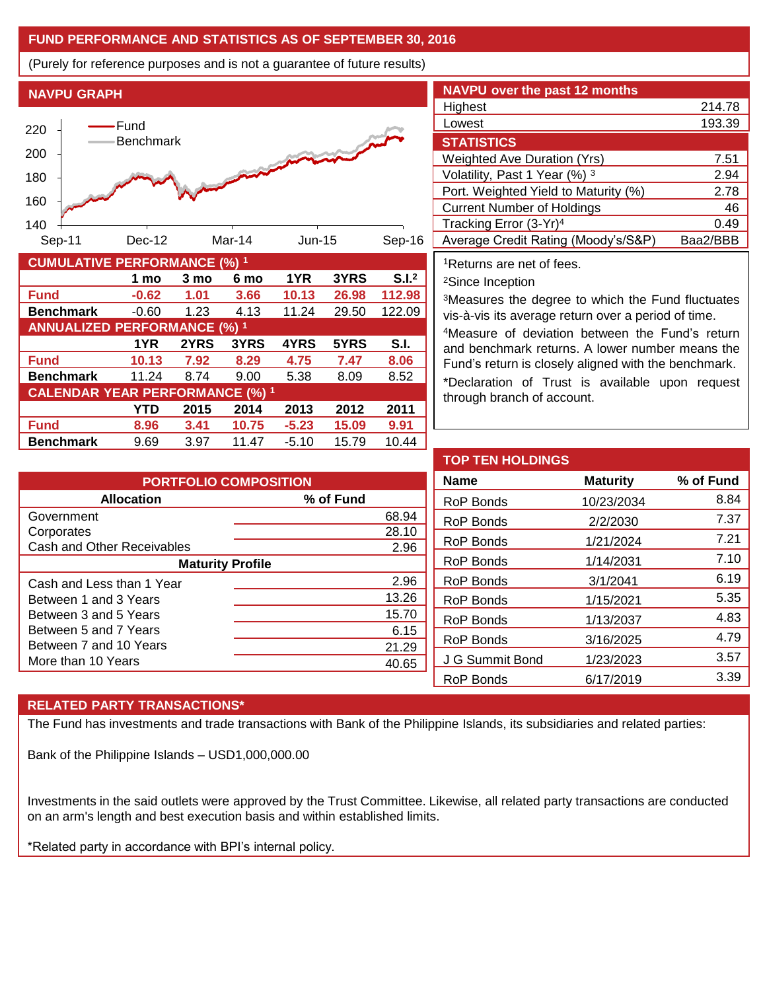## **FUND PERFORMANCE AND STATISTICS AS OF SEPTEMBER 30, 2016**

(Purely for reference purposes and is not a guarantee of future results)





| <b>CUMULATIVE PERFORMANCE (%) 1</b>    |         |      |       |         |       |                   |
|----------------------------------------|---------|------|-------|---------|-------|-------------------|
|                                        | 1 mo    | 3 mo | 6 mo  | 1YR     | 3YRS  | S.I. <sup>2</sup> |
| <b>Fund</b>                            | $-0.62$ | 1.01 | 3.66  | 10.13   | 26.98 | 112.98            |
| <b>Benchmark</b>                       | $-0.60$ | 1.23 | 4.13  | 11.24   | 29.50 | 122.09            |
| <b>ANNUALIZED PERFORMANCE (%) 1</b>    |         |      |       |         |       |                   |
|                                        | 1YR     | 2YRS | 3YRS  | 4YRS    | 5YRS  | S.I.              |
| <b>Fund</b>                            | 10.13   | 7.92 | 8.29  | 4.75    | 7.47  | 8.06              |
| <b>Benchmark</b>                       | 11.24   | 8.74 | 9.00  | 5.38    | 8.09  | 8.52              |
| <b>CALENDAR YEAR PERFORMANCE (%) 1</b> |         |      |       |         |       |                   |
|                                        | YTD     | 2015 | 2014  | 2013    | 2012  | 2011              |
| <b>Fund</b>                            | 8.96    | 3.41 | 10.75 | $-5.23$ | 15.09 | 9.91              |
| <b>Benchmark</b>                       | 9.69    | 3.97 | 11.47 | $-5.10$ | 15.79 | 10.44             |

| <b>NAVPU over the past 12 months</b> |          |
|--------------------------------------|----------|
| Highest                              | 214.78   |
| Lowest                               | 193.39   |
| <b>STATISTICS</b>                    |          |
| <b>Weighted Ave Duration (Yrs)</b>   | 7.51     |
| Volatility, Past 1 Year (%) 3        | 2.94     |
| Port. Weighted Yield to Maturity (%) | 2.78     |
| <b>Current Number of Holdings</b>    | 46       |
| Tracking Error (3-Yr) <sup>4</sup>   | 0.49     |
| Average Credit Rating (Moody's/S&P)  | Baa2/BBB |

<sup>1</sup>Returns are net of fees.

<sup>2</sup>Since Inception

<sup>3</sup>Measures the degree to which the Fund fluctuates vis-à-vis its average return over a period of time.

<sup>4</sup>Measure of deviation between the Fund's return and benchmark returns. A lower number means the Fund's return is closely aligned with the benchmark. \*Declaration of Trust is available upon request

through branch of account.

| <b>PORTFOLIO COMPOSITION</b> |           |  |  |  |
|------------------------------|-----------|--|--|--|
| <b>Allocation</b>            | % of Fund |  |  |  |
| Government                   | 68.94     |  |  |  |
| Corporates                   | 28.10     |  |  |  |
| Cash and Other Receivables   | 2.96      |  |  |  |
| <b>Maturity Profile</b>      |           |  |  |  |
| Cash and Less than 1 Year    | 2.96      |  |  |  |
| Between 1 and 3 Years        | 13.26     |  |  |  |
| Between 3 and 5 Years        | 15.70     |  |  |  |
| Between 5 and 7 Years        | 6.15      |  |  |  |
| Between 7 and 10 Years       | 21.29     |  |  |  |
| More than 10 Years           | 40.65     |  |  |  |

| <b>TOP TEN HOLDINGS</b> |                 |           |  |  |  |
|-------------------------|-----------------|-----------|--|--|--|
| <b>Name</b>             | <b>Maturity</b> | % of Fund |  |  |  |
| RoP Bonds               | 10/23/2034      | 8.84      |  |  |  |
| RoP Bonds               | 2/2/2030        | 7.37      |  |  |  |
| RoP Bonds               | 1/21/2024       | 7.21      |  |  |  |
| RoP Bonds               | 1/14/2031       | 7.10      |  |  |  |
| RoP Bonds               | 3/1/2041        | 6.19      |  |  |  |
| RoP Bonds               | 1/15/2021       | 5.35      |  |  |  |
| RoP Bonds               | 1/13/2037       | 4.83      |  |  |  |
| RoP Bonds               | 3/16/2025       | 4.79      |  |  |  |
| J G Summit Bond         | 1/23/2023       | 3.57      |  |  |  |
| RoP Bonds               | 6/17/2019       | 3.39      |  |  |  |

# **RELATED PARTY TRANSACTIONS\***

The Fund has investments and trade transactions with Bank of the Philippine Islands, its subsidiaries and related parties:

Bank of the Philippine Islands – USD1,000,000.00

Investments in the said outlets were approved by the Trust Committee. Likewise, all related party transactions are conducted on an arm's length and best execution basis and within established limits.

\*Related party in accordance with BPI's internal policy.